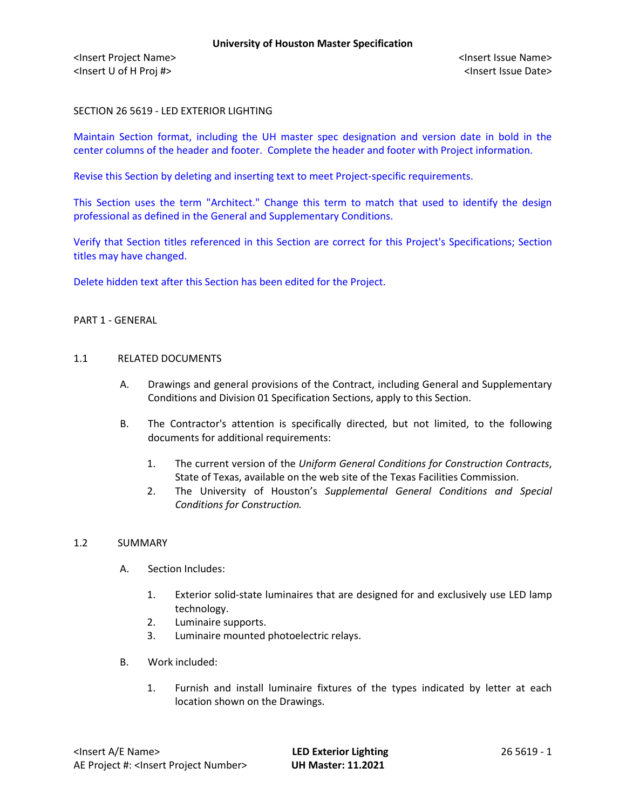# SECTION 26 5619 - LED EXTERIOR LIGHTING

Maintain Section format, including the UH master spec designation and version date in bold in the center columns of the header and footer. Complete the header and footer with Project information.

Revise this Section by deleting and inserting text to meet Project-specific requirements.

This Section uses the term "Architect." Change this term to match that used to identify the design professional as defined in the General and Supplementary Conditions.

Verify that Section titles referenced in this Section are correct for this Project's Specifications; Section titles may have changed.

Delete hidden text after this Section has been edited for the Project.

### PART 1 - GENERAL

#### 1.1 RELATED DOCUMENTS

- A. Drawings and general provisions of the Contract, including General and Supplementary Conditions and Division 01 Specification Sections, apply to this Section.
- B. The Contractor's attention is specifically directed, but not limited, to the following documents for additional requirements:
	- 1. The current version of the *Uniform General Conditions for Construction Contracts*, State of Texas, available on the web site of the Texas Facilities Commission.
	- 2. The University of Houston's *Supplemental General Conditions and Special Conditions for Construction.*

### 1.2 SUMMARY

- A. Section Includes:
	- 1. Exterior solid-state luminaires that are designed for and exclusively use LED lamp technology.
	- 2. Luminaire supports.
	- 3. Luminaire mounted photoelectric relays.
- B. Work included:
	- 1. Furnish and install luminaire fixtures of the types indicated by letter at each location shown on the Drawings.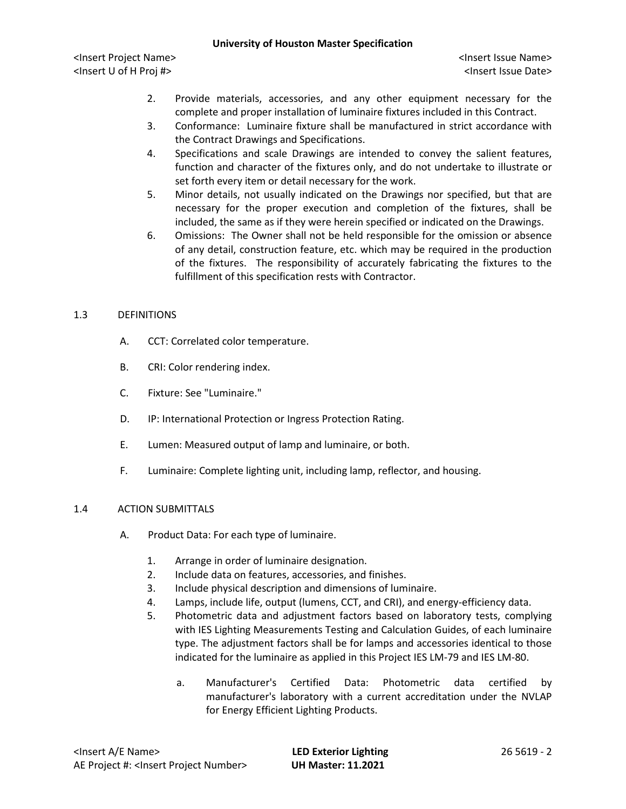## **University of Houston Master Specification**

<Insert Project Name> <Insert Issue Name> <Insert U of H Proj #> <Insert Issue Date>

- 2. Provide materials, accessories, and any other equipment necessary for the complete and proper installation of luminaire fixtures included in this Contract.
- 3. Conformance: Luminaire fixture shall be manufactured in strict accordance with the Contract Drawings and Specifications.
- 4. Specifications and scale Drawings are intended to convey the salient features, function and character of the fixtures only, and do not undertake to illustrate or set forth every item or detail necessary for the work.
- 5. Minor details, not usually indicated on the Drawings nor specified, but that are necessary for the proper execution and completion of the fixtures, shall be included, the same as if they were herein specified or indicated on the Drawings.
- 6. Omissions: The Owner shall not be held responsible for the omission or absence of any detail, construction feature, etc. which may be required in the production of the fixtures. The responsibility of accurately fabricating the fixtures to the fulfillment of this specification rests with Contractor.

# 1.3 DEFINITIONS

- A. CCT: Correlated color temperature.
- B. CRI: Color rendering index.
- C. Fixture: See "Luminaire."
- D. IP: International Protection or Ingress Protection Rating.
- E. Lumen: Measured output of lamp and luminaire, or both.
- F. Luminaire: Complete lighting unit, including lamp, reflector, and housing.

# 1.4 ACTION SUBMITTALS

- A. Product Data: For each type of luminaire.
	- 1. Arrange in order of luminaire designation.
	- 2. Include data on features, accessories, and finishes.
	- 3. Include physical description and dimensions of luminaire.
	- 4. Lamps, include life, output (lumens, CCT, and CRI), and energy-efficiency data.
	- 5. Photometric data and adjustment factors based on laboratory tests, complying with IES Lighting Measurements Testing and Calculation Guides, of each luminaire type. The adjustment factors shall be for lamps and accessories identical to those indicated for the luminaire as applied in this Project IES LM-79 and IES LM-80.
		- a. Manufacturer's Certified Data: Photometric data certified by manufacturer's laboratory with a current accreditation under the NVLAP for Energy Efficient Lighting Products.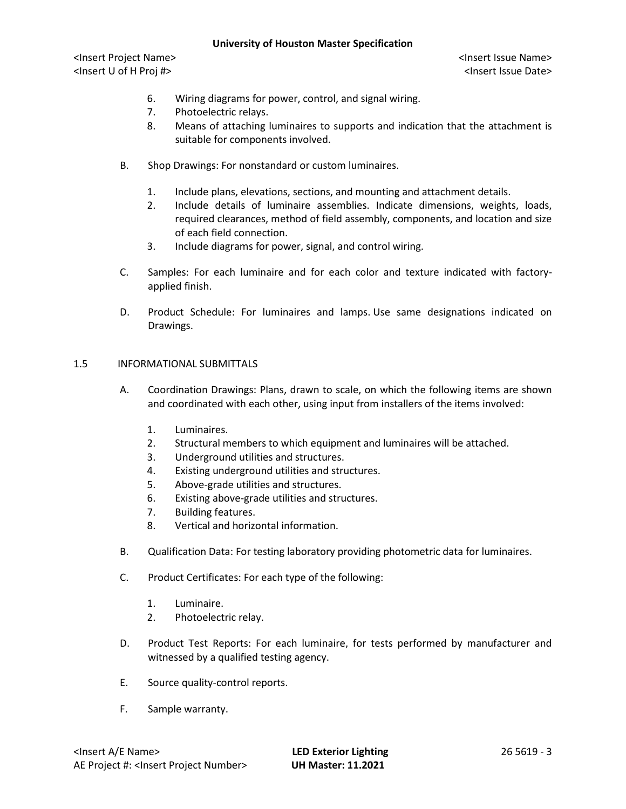## **University of Houston Master Specification**

<Insert Project Name> <Insert Issue Name> <Insert U of H Proj #> <Insert Issue Date>

- 6. Wiring diagrams for power, control, and signal wiring.
- 7. Photoelectric relays.
- 8. Means of attaching luminaires to supports and indication that the attachment is suitable for components involved.
- B. Shop Drawings: For nonstandard or custom luminaires.
	- 1. Include plans, elevations, sections, and mounting and attachment details.
	- 2. Include details of luminaire assemblies. Indicate dimensions, weights, loads, required clearances, method of field assembly, components, and location and size of each field connection.
	- 3. Include diagrams for power, signal, and control wiring.
- C. Samples: For each luminaire and for each color and texture indicated with factoryapplied finish.
- D. Product Schedule: For luminaires and lamps. Use same designations indicated on Drawings.

### 1.5 INFORMATIONAL SUBMITTALS

- A. Coordination Drawings: Plans, drawn to scale, on which the following items are shown and coordinated with each other, using input from installers of the items involved:
	- 1. Luminaires.
	- 2. Structural members to which equipment and luminaires will be attached.
	- 3. Underground utilities and structures.
	- 4. Existing underground utilities and structures.
	- 5. Above-grade utilities and structures.
	- 6. Existing above-grade utilities and structures.
	- 7. Building features.
	- 8. Vertical and horizontal information.
- B. Qualification Data: For testing laboratory providing photometric data for luminaires.
- C. Product Certificates: For each type of the following:
	- 1. Luminaire.
	- 2. Photoelectric relay.
- D. Product Test Reports: For each luminaire, for tests performed by manufacturer and witnessed by a qualified testing agency.
- E. Source quality-control reports.
- F. Sample warranty.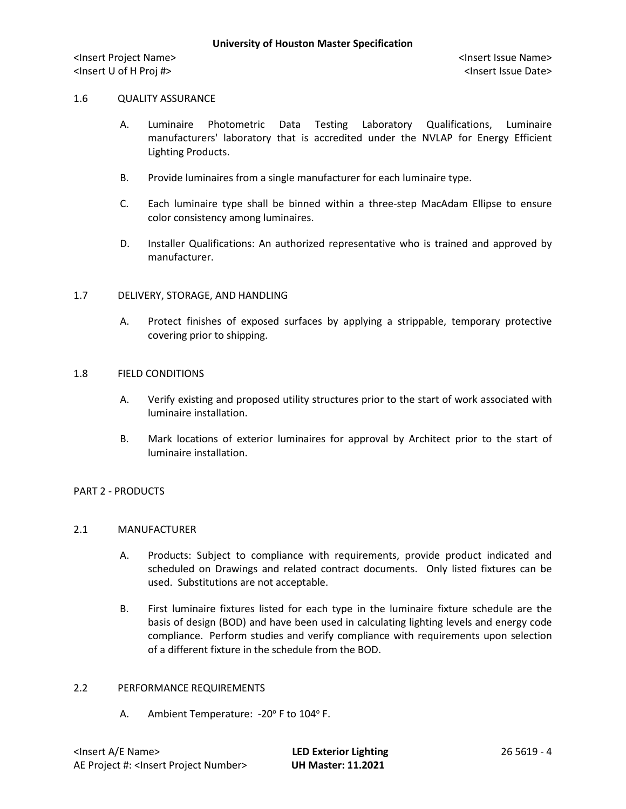#### 1.6 QUALITY ASSURANCE

- A. Luminaire Photometric Data Testing Laboratory Qualifications, Luminaire manufacturers' laboratory that is accredited under the NVLAP for Energy Efficient Lighting Products.
- B. Provide luminaires from a single manufacturer for each luminaire type.
- C. Each luminaire type shall be binned within a three-step MacAdam Ellipse to ensure color consistency among luminaires.
- D. Installer Qualifications: An authorized representative who is trained and approved by manufacturer.

#### 1.7 DELIVERY, STORAGE, AND HANDLING

A. Protect finishes of exposed surfaces by applying a strippable, temporary protective covering prior to shipping.

## 1.8 FIELD CONDITIONS

- A. Verify existing and proposed utility structures prior to the start of work associated with luminaire installation.
- B. Mark locations of exterior luminaires for approval by Architect prior to the start of luminaire installation.

### PART 2 - PRODUCTS

#### 2.1 MANUFACTURER

- A. Products: Subject to compliance with requirements, provide product indicated and scheduled on Drawings and related contract documents. Only listed fixtures can be used. Substitutions are not acceptable.
- B. First luminaire fixtures listed for each type in the luminaire fixture schedule are the basis of design (BOD) and have been used in calculating lighting levels and energy code compliance. Perform studies and verify compliance with requirements upon selection of a different fixture in the schedule from the BOD.

### 2.2 PERFORMANCE REQUIREMENTS

A. Ambient Temperature:  $-20^\circ$  F to 104 $\circ$  F.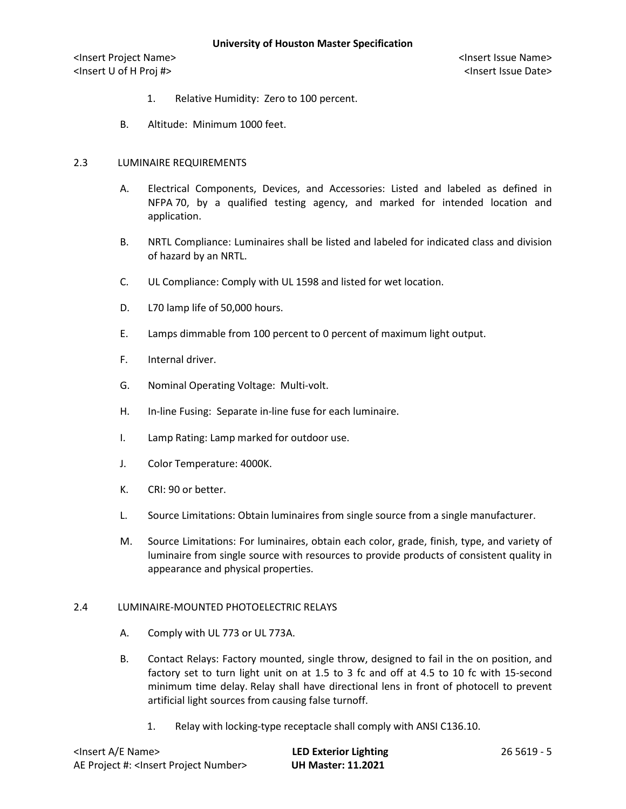### **University of Houston Master Specification**

<Insert Project Name> <Insert Issue Name> <Insert U of H Proj #> <Insert Issue Date>

- 1. Relative Humidity: Zero to 100 percent.
- B. Altitude: Minimum 1000 feet.

#### 2.3 LUMINAIRE REQUIREMENTS

- A. Electrical Components, Devices, and Accessories: Listed and labeled as defined in NFPA 70, by a qualified testing agency, and marked for intended location and application.
- B. NRTL Compliance: Luminaires shall be listed and labeled for indicated class and division of hazard by an NRTL.
- C. UL Compliance: Comply with UL 1598 and listed for wet location.
- D. L70 lamp life of 50,000 hours.
- E. Lamps dimmable from 100 percent to 0 percent of maximum light output.
- F. Internal driver.
- G. Nominal Operating Voltage: Multi-volt.
- H. In-line Fusing: Separate in-line fuse for each luminaire.
- I. Lamp Rating: Lamp marked for outdoor use.
- J. Color Temperature: 4000K.
- K. CRI: 90 or better.
- L. Source Limitations: Obtain luminaires from single source from a single manufacturer.
- M. Source Limitations: For luminaires, obtain each color, grade, finish, type, and variety of luminaire from single source with resources to provide products of consistent quality in appearance and physical properties.

### 2.4 LUMINAIRE-MOUNTED PHOTOELECTRIC RELAYS

- A. Comply with UL 773 or UL 773A.
- B. Contact Relays: Factory mounted, single throw, designed to fail in the on position, and factory set to turn light unit on at 1.5 to 3 fc and off at 4.5 to 10 fc with 15-second minimum time delay. Relay shall have directional lens in front of photocell to prevent artificial light sources from causing false turnoff.
	- 1. Relay with locking-type receptacle shall comply with ANSI C136.10.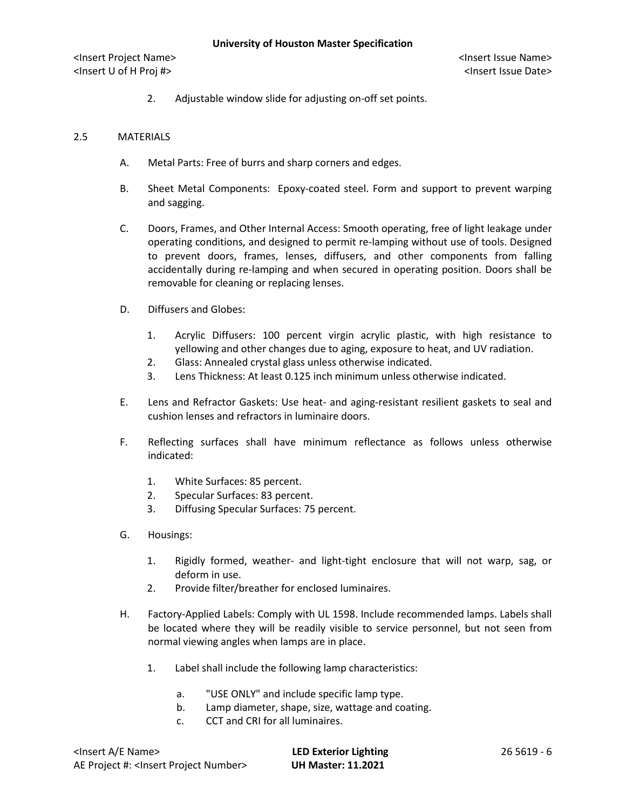2. Adjustable window slide for adjusting on-off set points.

## 2.5 MATERIALS

- A. Metal Parts: Free of burrs and sharp corners and edges.
- B. Sheet Metal Components: Epoxy-coated steel. Form and support to prevent warping and sagging.
- C. Doors, Frames, and Other Internal Access: Smooth operating, free of light leakage under operating conditions, and designed to permit re-lamping without use of tools. Designed to prevent doors, frames, lenses, diffusers, and other components from falling accidentally during re-lamping and when secured in operating position. Doors shall be removable for cleaning or replacing lenses.
- D. Diffusers and Globes:
	- 1. Acrylic Diffusers: 100 percent virgin acrylic plastic, with high resistance to yellowing and other changes due to aging, exposure to heat, and UV radiation.
	- 2. Glass: Annealed crystal glass unless otherwise indicated.
	- 3. Lens Thickness: At least 0.125 inch minimum unless otherwise indicated.
- E. Lens and Refractor Gaskets: Use heat- and aging-resistant resilient gaskets to seal and cushion lenses and refractors in luminaire doors.
- F. Reflecting surfaces shall have minimum reflectance as follows unless otherwise indicated:
	- 1. White Surfaces: 85 percent.
	- 2. Specular Surfaces: 83 percent.
	- 3. Diffusing Specular Surfaces: 75 percent.
- G. Housings:
	- 1. Rigidly formed, weather- and light-tight enclosure that will not warp, sag, or deform in use.
	- 2. Provide filter/breather for enclosed luminaires.
- H. Factory-Applied Labels: Comply with UL 1598. Include recommended lamps. Labels shall be located where they will be readily visible to service personnel, but not seen from normal viewing angles when lamps are in place.
	- 1. Label shall include the following lamp characteristics:
		- a. "USE ONLY" and include specific lamp type.
		- b. Lamp diameter, shape, size, wattage and coating.
		- c. CCT and CRI for all luminaires.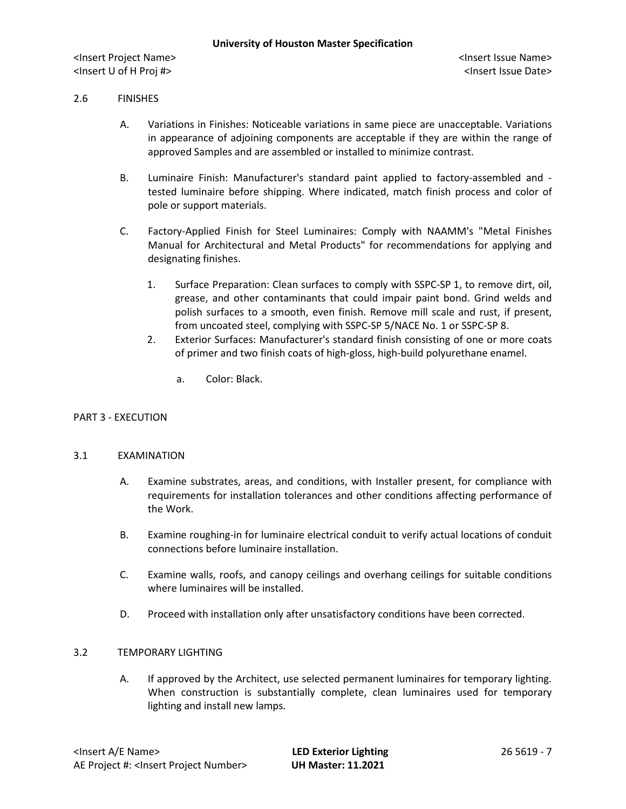# 2.6 FINISHES

- A. Variations in Finishes: Noticeable variations in same piece are unacceptable. Variations in appearance of adjoining components are acceptable if they are within the range of approved Samples and are assembled or installed to minimize contrast.
- B. Luminaire Finish: Manufacturer's standard paint applied to factory-assembled and tested luminaire before shipping. Where indicated, match finish process and color of pole or support materials.
- C. Factory-Applied Finish for Steel Luminaires: Comply with NAAMM's "Metal Finishes Manual for Architectural and Metal Products" for recommendations for applying and designating finishes.
	- 1. Surface Preparation: Clean surfaces to comply with SSPC-SP 1, to remove dirt, oil, grease, and other contaminants that could impair paint bond. Grind welds and polish surfaces to a smooth, even finish. Remove mill scale and rust, if present, from uncoated steel, complying with SSPC-SP 5/NACE No. 1 or SSPC-SP 8.
	- 2. Exterior Surfaces: Manufacturer's standard finish consisting of one or more coats of primer and two finish coats of high-gloss, high-build polyurethane enamel.
		- a. Color: Black.

### PART 3 - EXECUTION

### 3.1 EXAMINATION

- A. Examine substrates, areas, and conditions, with Installer present, for compliance with requirements for installation tolerances and other conditions affecting performance of the Work.
- B. Examine roughing-in for luminaire electrical conduit to verify actual locations of conduit connections before luminaire installation.
- C. Examine walls, roofs, and canopy ceilings and overhang ceilings for suitable conditions where luminaires will be installed.
- D. Proceed with installation only after unsatisfactory conditions have been corrected.

### 3.2 TEMPORARY LIGHTING

A. If approved by the Architect, use selected permanent luminaires for temporary lighting. When construction is substantially complete, clean luminaires used for temporary lighting and install new lamps.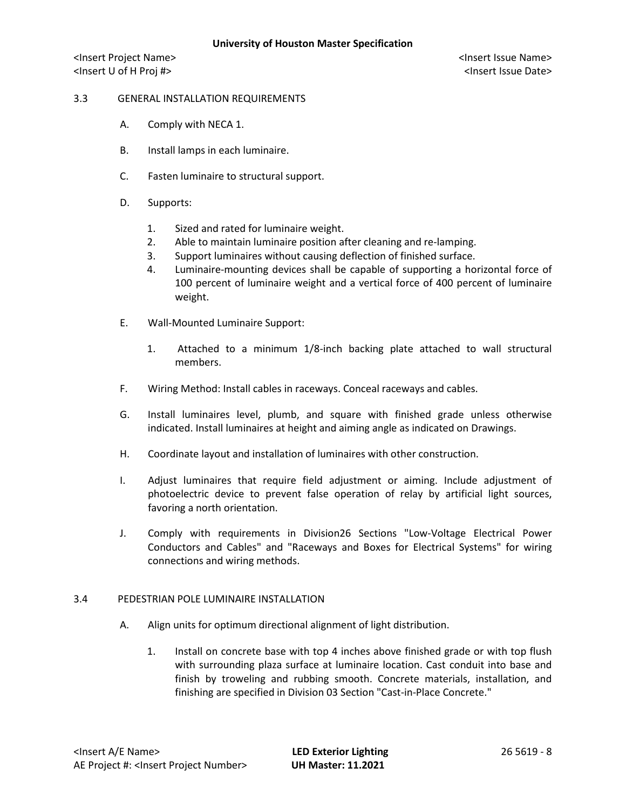## 3.3 GENERAL INSTALLATION REQUIREMENTS

- A. Comply with NECA 1.
- B. Install lamps in each luminaire.
- C. Fasten luminaire to structural support.
- D. Supports:
	- 1. Sized and rated for luminaire weight.
	- 2. Able to maintain luminaire position after cleaning and re-lamping.
	- 3. Support luminaires without causing deflection of finished surface.
	- 4. Luminaire-mounting devices shall be capable of supporting a horizontal force of 100 percent of luminaire weight and a vertical force of 400 percent of luminaire weight.
- E. Wall-Mounted Luminaire Support:
	- 1. Attached to a minimum 1/8-inch backing plate attached to wall structural members.
- F. Wiring Method: Install cables in raceways. Conceal raceways and cables.
- G. Install luminaires level, plumb, and square with finished grade unless otherwise indicated. Install luminaires at height and aiming angle as indicated on Drawings.
- H. Coordinate layout and installation of luminaires with other construction.
- I. Adjust luminaires that require field adjustment or aiming. Include adjustment of photoelectric device to prevent false operation of relay by artificial light sources, favoring a north orientation.
- J. Comply with requirements in Division26 Sections "Low-Voltage Electrical Power Conductors and Cables" and "Raceways and Boxes for Electrical Systems" for wiring connections and wiring methods.

### 3.4 PEDESTRIAN POLE LUMINAIRE INSTALLATION

- A. Align units for optimum directional alignment of light distribution.
	- 1. Install on concrete base with top 4 inches above finished grade or with top flush with surrounding plaza surface at luminaire location. Cast conduit into base and finish by troweling and rubbing smooth. Concrete materials, installation, and finishing are specified in Division 03 Section "Cast-in-Place Concrete."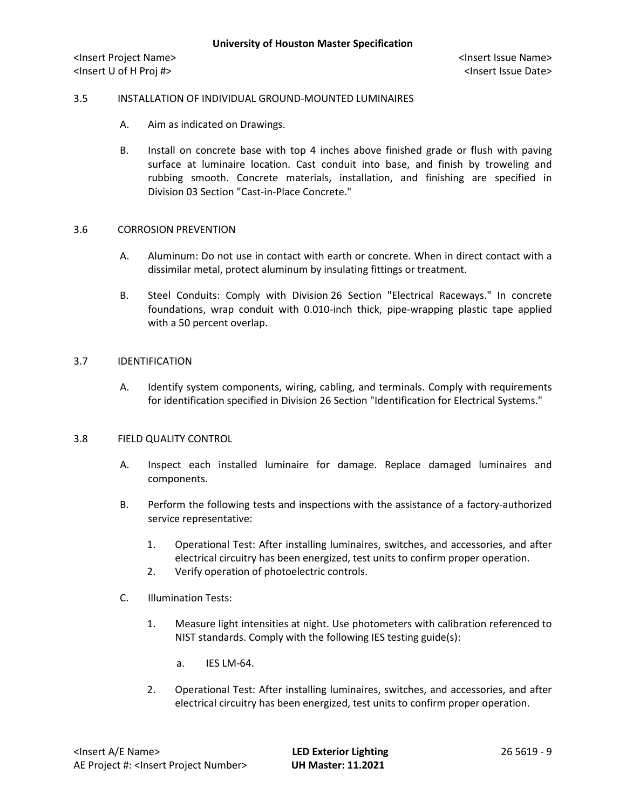## 3.5 INSTALLATION OF INDIVIDUAL GROUND-MOUNTED LUMINAIRES

- A. Aim as indicated on Drawings.
- B. Install on concrete base with top 4 inches above finished grade or flush with paving surface at luminaire location. Cast conduit into base, and finish by troweling and rubbing smooth. Concrete materials, installation, and finishing are specified in Division 03 Section "Cast-in-Place Concrete."

### 3.6 CORROSION PREVENTION

- A. Aluminum: Do not use in contact with earth or concrete. When in direct contact with a dissimilar metal, protect aluminum by insulating fittings or treatment.
- B. Steel Conduits: Comply with Division 26 Section "Electrical Raceways." In concrete foundations, wrap conduit with 0.010-inch thick, pipe-wrapping plastic tape applied with a 50 percent overlap.

#### 3.7 IDENTIFICATION

A. Identify system components, wiring, cabling, and terminals. Comply with requirements for identification specified in Division 26 Section "Identification for Electrical Systems."

### 3.8 FIELD QUALITY CONTROL

- A. Inspect each installed luminaire for damage. Replace damaged luminaires and components.
- B. Perform the following tests and inspections with the assistance of a factory-authorized service representative:
	- 1. Operational Test: After installing luminaires, switches, and accessories, and after electrical circuitry has been energized, test units to confirm proper operation.
	- 2. Verify operation of photoelectric controls.
- C. Illumination Tests:
	- 1. Measure light intensities at night. Use photometers with calibration referenced to NIST standards. Comply with the following IES testing guide(s):
		- a. IES LM-64.
	- 2. Operational Test: After installing luminaires, switches, and accessories, and after electrical circuitry has been energized, test units to confirm proper operation.